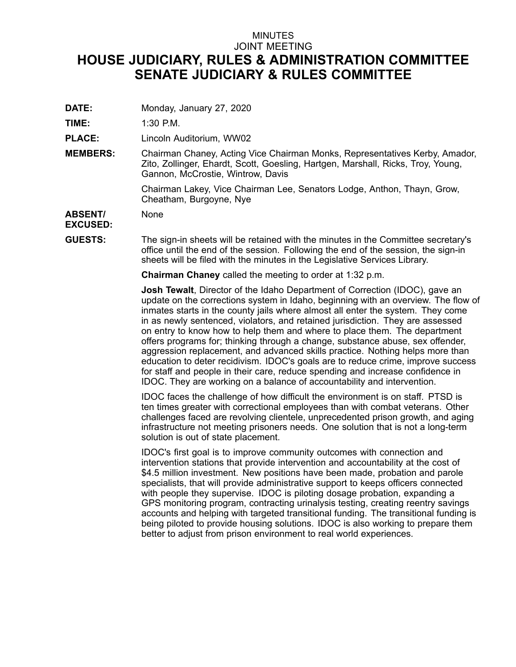## MINUTES JOINT MEETING **HOUSE JUDICIARY, RULES & ADMINISTRATION COMMITTEE SENATE JUDICIARY & RULES COMMITTEE**

**DATE:** Monday, January 27, 2020

**TIME:** 1:30 P.M.

**PLACE:** Lincoln Auditorium, WW02

**MEMBERS:** Chairman Chaney, Acting Vice Chairman Monks, Representatives Kerby, Amador, Zito, Zollinger, Ehardt, Scott, Goesling, Hartgen, Marshall, Ricks, Troy, Young, Gannon, McCrostie, Wintrow, Davis

> Chairman Lakey, Vice Chairman Lee, Senators Lodge, Anthon, Thayn, Grow, Cheatham, Burgoyne, Nye

**ABSENT/** None

## **EXCUSED:**

**GUESTS:** The sign-in sheets will be retained with the minutes in the Committee secretary's office until the end of the session. Following the end of the session, the sign-in sheets will be filed with the minutes in the Legislative Services Library.

**Chairman Chaney** called the meeting to order at 1:32 p.m.

**Josh Tewalt**, Director of the Idaho Department of Correction (IDOC), gave an update on the corrections system in Idaho, beginning with an overview. The flow of inmates starts in the county jails where almost all enter the system. They come in as newly sentenced, violators, and retained jurisdiction. They are assessed on entry to know how to help them and where to place them. The department offers programs for; thinking through <sup>a</sup> change, substance abuse, sex offender, aggression replacement, and advanced skills practice. Nothing helps more than education to deter recidivism. IDOC's goals are to reduce crime, improve success for staff and people in their care, reduce spending and increase confidence in IDOC. They are working on <sup>a</sup> balance of accountability and intervention.

IDOC faces the challenge of how difficult the environment is on staff. PTSD is ten times greater with correctional employees than with combat veterans. Other challenges faced are revolving clientele, unprecedented prison growth, and aging infrastructure not meeting prisoners needs. One solution that is not <sup>a</sup> long-term solution is out of state placement.

IDOC's first goal is to improve community outcomes with connection and intervention stations that provide intervention and accountability at the cost of \$4.5 million investment. New positions have been made, probation and parole specialists, that will provide administrative support to keeps officers connected with people they supervise. IDOC is piloting dosage probation, expanding <sup>a</sup> GPS monitoring program, contracting urinalysis testing, creating reentry savings accounts and helping with targeted transitional funding. The transitional funding is being piloted to provide housing solutions. IDOC is also working to prepare them better to adjust from prison environment to real world experiences.